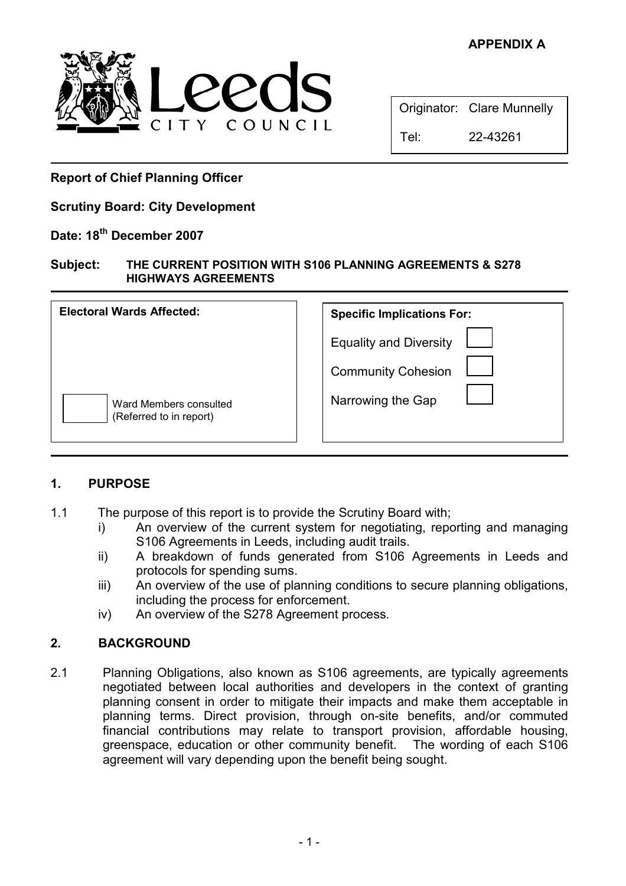# APPENDIX A



|      | Originator: Clare Munnelly |
|------|----------------------------|
| Tel: | 22-43261                   |

Report of Chief Planning Officer

Scrutiny Board: City Development

### Date: 18<sup>th</sup> December 2007

### Subject: THE CURRENT POSITION WITH S106 PLANNING AGREEMENTS & S278 HIGHWAYS AGREEMENTS

| <b>Electoral Wards Affected:</b>                  | <b>Specific Implications For:</b> |  |
|---------------------------------------------------|-----------------------------------|--|
|                                                   | <b>Equality and Diversity</b>     |  |
|                                                   | <b>Community Cohesion</b>         |  |
| Ward Members consulted<br>(Referred to in report) | Narrowing the Gap                 |  |

## 1. PURPOSE

- 1.1 The purpose of this report is to provide the Scrutiny Board with;
	- i) An overview of the current system for negotiating, reporting and managing S106 Agreements in Leeds, including audit trails.
	- ii) A breakdown of funds generated from S106 Agreements in Leeds and protocols for spending sums.
	- iii) An overview of the use of planning conditions to secure planning obligations, including the process for enforcement.
	- iv) An overview of the S278 Agreement process.

## 2. BACKGROUND

2.1 Planning Obligations, also known as S106 agreements, are typically agreements negotiated between local authorities and developers in the context of granting planning consent in order to mitigate their impacts and make them acceptable in planning terms. Direct provision, through on-site benefits, and/or commuted financial contributions may relate to transport provision, affordable housing, greenspace, education or other community benefit. The wording of each S106 agreement will vary depending upon the benefit being sought.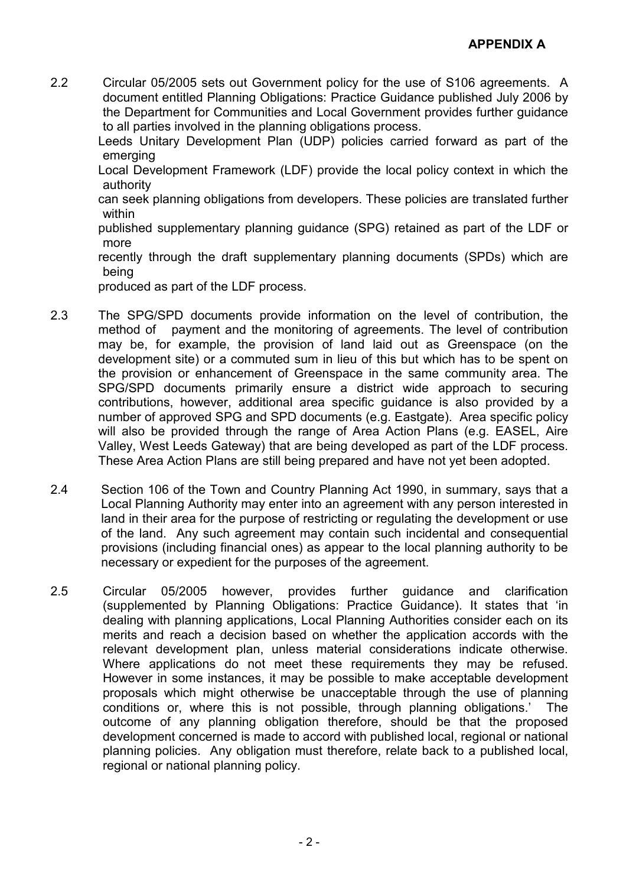2.2 Circular 05/2005 sets out Government policy for the use of S106 agreements. A document entitled Planning Obligations: Practice Guidance published July 2006 by the Department for Communities and Local Government provides further guidance to all parties involved in the planning obligations process.

Leeds Unitary Development Plan (UDP) policies carried forward as part of the emerging

Local Development Framework (LDF) provide the local policy context in which the authority

can seek planning obligations from developers. These policies are translated further within

published supplementary planning guidance (SPG) retained as part of the LDF or more

recently through the draft supplementary planning documents (SPDs) which are being

produced as part of the LDF process.

- 2.3 The SPG/SPD documents provide information on the level of contribution, the method of payment and the monitoring of agreements. The level of contribution may be, for example, the provision of land laid out as Greenspace (on the development site) or a commuted sum in lieu of this but which has to be spent on the provision or enhancement of Greenspace in the same community area. The SPG/SPD documents primarily ensure a district wide approach to securing contributions, however, additional area specific guidance is also provided by a number of approved SPG and SPD documents (e.g. Eastgate). Area specific policy will also be provided through the range of Area Action Plans (e.g. EASEL, Aire Valley, West Leeds Gateway) that are being developed as part of the LDF process. These Area Action Plans are still being prepared and have not yet been adopted.
- 2.4 Section 106 of the Town and Country Planning Act 1990, in summary, says that a Local Planning Authority may enter into an agreement with any person interested in land in their area for the purpose of restricting or regulating the development or use of the land. Any such agreement may contain such incidental and consequential provisions (including financial ones) as appear to the local planning authority to be necessary or expedient for the purposes of the agreement.
- 2.5 Circular 05/2005 however, provides further guidance and clarification (supplemented by Planning Obligations: Practice Guidance). It states that 'in dealing with planning applications, Local Planning Authorities consider each on its merits and reach a decision based on whether the application accords with the relevant development plan, unless material considerations indicate otherwise. Where applications do not meet these requirements they may be refused. However in some instances, it may be possible to make acceptable development proposals which might otherwise be unacceptable through the use of planning conditions or, where this is not possible, through planning obligations.' The outcome of any planning obligation therefore, should be that the proposed development concerned is made to accord with published local, regional or national planning policies. Any obligation must therefore, relate back to a published local, regional or national planning policy.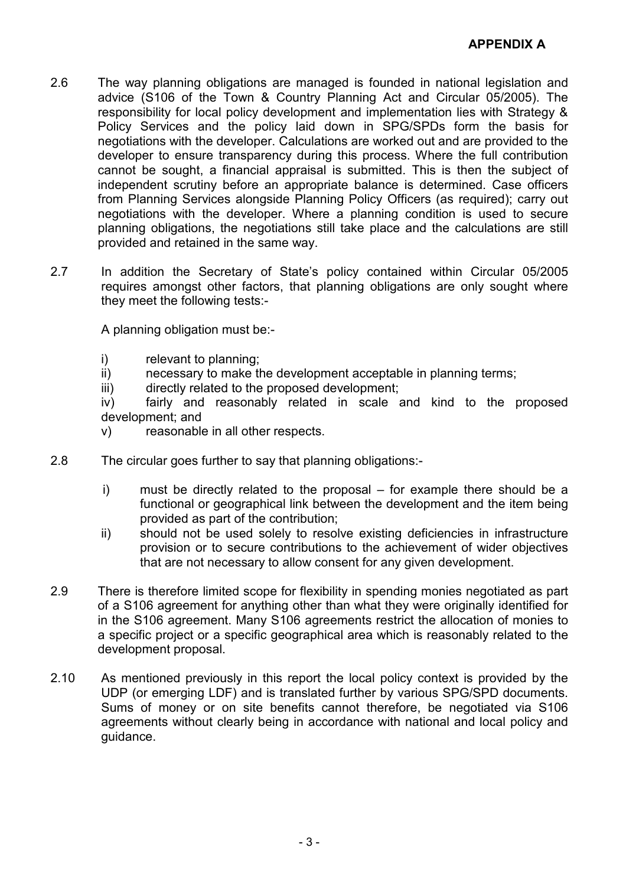- 2.6 The way planning obligations are managed is founded in national legislation and advice (S106 of the Town & Country Planning Act and Circular 05/2005). The responsibility for local policy development and implementation lies with Strategy & Policy Services and the policy laid down in SPG/SPDs form the basis for negotiations with the developer. Calculations are worked out and are provided to the developer to ensure transparency during this process. Where the full contribution cannot be sought, a financial appraisal is submitted. This is then the subject of independent scrutiny before an appropriate balance is determined. Case officers from Planning Services alongside Planning Policy Officers (as required); carry out negotiations with the developer. Where a planning condition is used to secure planning obligations, the negotiations still take place and the calculations are still provided and retained in the same way.
- 2.7 In addition the Secretary of State's policy contained within Circular 05/2005 requires amongst other factors, that planning obligations are only sought where they meet the following tests:-

A planning obligation must be:-

- i) relevant to planning;
- ii) necessary to make the development acceptable in planning terms;
- iii) directly related to the proposed development;

iv) fairly and reasonably related in scale and kind to the proposed development; and

- v) reasonable in all other respects.
- 2.8 The circular goes further to say that planning obligations:
	- i) must be directly related to the proposal for example there should be a functional or geographical link between the development and the item being provided as part of the contribution;
	- ii) should not be used solely to resolve existing deficiencies in infrastructure provision or to secure contributions to the achievement of wider objectives that are not necessary to allow consent for any given development.
- 2.9 There is therefore limited scope for flexibility in spending monies negotiated as part of a S106 agreement for anything other than what they were originally identified for in the S106 agreement. Many S106 agreements restrict the allocation of monies to a specific project or a specific geographical area which is reasonably related to the development proposal.
- 2.10 As mentioned previously in this report the local policy context is provided by the UDP (or emerging LDF) and is translated further by various SPG/SPD documents. Sums of money or on site benefits cannot therefore, be negotiated via S106 agreements without clearly being in accordance with national and local policy and guidance.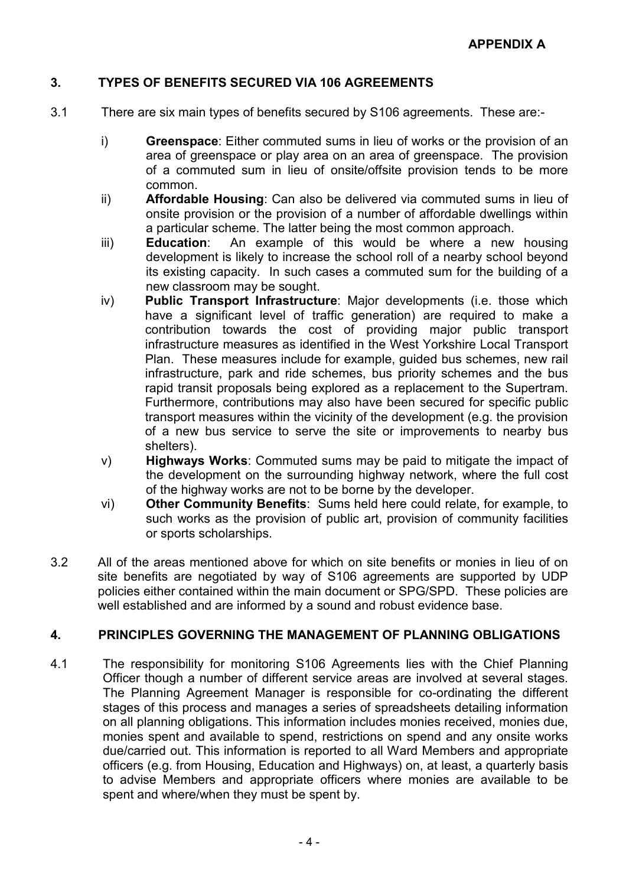## 3. TYPES OF BENEFITS SECURED VIA 106 AGREEMENTS

- 3.1 There are six main types of benefits secured by S106 agreements. These are:
	- i) Greenspace: Either commuted sums in lieu of works or the provision of an area of greenspace or play area on an area of greenspace. The provision of a commuted sum in lieu of onsite/offsite provision tends to be more common.
	- ii) Affordable Housing: Can also be delivered via commuted sums in lieu of onsite provision or the provision of a number of affordable dwellings within a particular scheme. The latter being the most common approach.
	- iii) **Education**: An example of this would be where a new housing development is likely to increase the school roll of a nearby school beyond its existing capacity. In such cases a commuted sum for the building of a new classroom may be sought.
	- iv) Public Transport Infrastructure: Major developments (i.e. those which have a significant level of traffic generation) are required to make a contribution towards the cost of providing major public transport infrastructure measures as identified in the West Yorkshire Local Transport Plan. These measures include for example, guided bus schemes, new rail infrastructure, park and ride schemes, bus priority schemes and the bus rapid transit proposals being explored as a replacement to the Supertram. Furthermore, contributions may also have been secured for specific public transport measures within the vicinity of the development (e.g. the provision of a new bus service to serve the site or improvements to nearby bus shelters).
	- v) Highways Works: Commuted sums may be paid to mitigate the impact of the development on the surrounding highway network, where the full cost of the highway works are not to be borne by the developer.
	- vi) Other Community Benefits: Sums held here could relate, for example, to such works as the provision of public art, provision of community facilities or sports scholarships.
- 3.2 All of the areas mentioned above for which on site benefits or monies in lieu of on site benefits are negotiated by way of S106 agreements are supported by UDP policies either contained within the main document or SPG/SPD. These policies are well established and are informed by a sound and robust evidence base.

### 4. PRINCIPLES GOVERNING THE MANAGEMENT OF PLANNING OBLIGATIONS

4.1 The responsibility for monitoring S106 Agreements lies with the Chief Planning Officer though a number of different service areas are involved at several stages. The Planning Agreement Manager is responsible for co-ordinating the different stages of this process and manages a series of spreadsheets detailing information on all planning obligations. This information includes monies received, monies due, monies spent and available to spend, restrictions on spend and any onsite works due/carried out. This information is reported to all Ward Members and appropriate officers (e.g. from Housing, Education and Highways) on, at least, a quarterly basis to advise Members and appropriate officers where monies are available to be spent and where/when they must be spent by.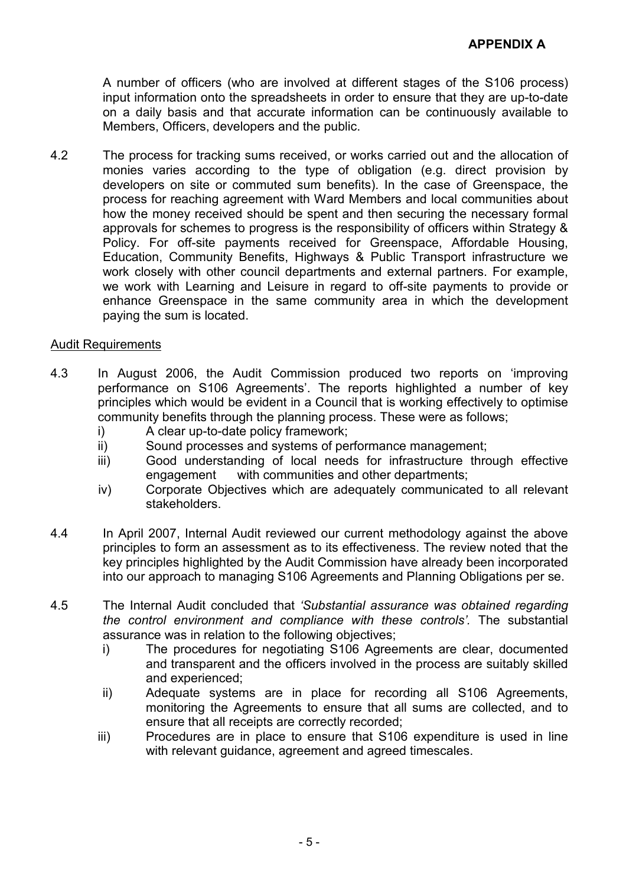A number of officers (who are involved at different stages of the S106 process) input information onto the spreadsheets in order to ensure that they are up-to-date on a daily basis and that accurate information can be continuously available to Members, Officers, developers and the public.

4.2 The process for tracking sums received, or works carried out and the allocation of monies varies according to the type of obligation (e.g. direct provision by developers on site or commuted sum benefits). In the case of Greenspace, the process for reaching agreement with Ward Members and local communities about how the money received should be spent and then securing the necessary formal approvals for schemes to progress is the responsibility of officers within Strategy & Policy. For off-site payments received for Greenspace, Affordable Housing, Education, Community Benefits, Highways & Public Transport infrastructure we work closely with other council departments and external partners. For example, we work with Learning and Leisure in regard to off-site payments to provide or enhance Greenspace in the same community area in which the development paying the sum is located.

### Audit Requirements

- 4.3 In August 2006, the Audit Commission produced two reports on 'improving performance on S106 Agreements'. The reports highlighted a number of key principles which would be evident in a Council that is working effectively to optimise community benefits through the planning process. These were as follows;
	- i) A clear up-to-date policy framework;
	- ii) Sound processes and systems of performance management;
	- iii) Good understanding of local needs for infrastructure through effective engagement with communities and other departments;
	- iv) Corporate Objectives which are adequately communicated to all relevant stakeholders.
- 4.4 In April 2007, Internal Audit reviewed our current methodology against the above principles to form an assessment as to its effectiveness. The review noted that the key principles highlighted by the Audit Commission have already been incorporated into our approach to managing S106 Agreements and Planning Obligations per se.
- 4.5 The Internal Audit concluded that 'Substantial assurance was obtained regarding the control environment and compliance with these controls'. The substantial assurance was in relation to the following objectives;
	- i) The procedures for negotiating S106 Agreements are clear, documented and transparent and the officers involved in the process are suitably skilled and experienced;
	- ii) Adequate systems are in place for recording all S106 Agreements, monitoring the Agreements to ensure that all sums are collected, and to ensure that all receipts are correctly recorded;
	- iii) Procedures are in place to ensure that S106 expenditure is used in line with relevant guidance, agreement and agreed timescales.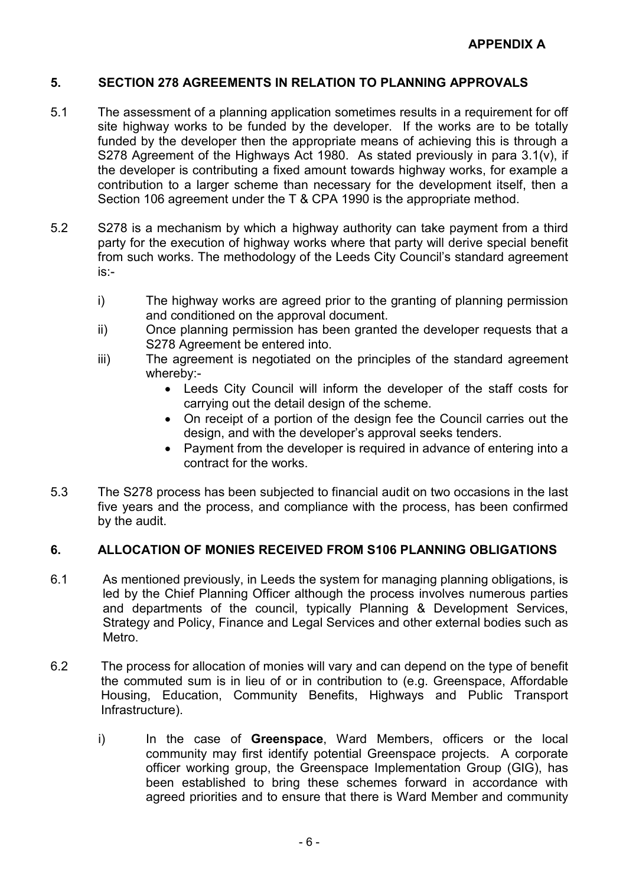## 5. SECTION 278 AGREEMENTS IN RELATION TO PLANNING APPROVALS

- 5.1 The assessment of a planning application sometimes results in a requirement for off site highway works to be funded by the developer. If the works are to be totally funded by the developer then the appropriate means of achieving this is through a S278 Agreement of the Highways Act 1980. As stated previously in para 3.1(v), if the developer is contributing a fixed amount towards highway works, for example a contribution to a larger scheme than necessary for the development itself, then a Section 106 agreement under the T & CPA 1990 is the appropriate method.
- 5.2 S278 is a mechanism by which a highway authority can take payment from a third party for the execution of highway works where that party will derive special benefit from such works. The methodology of the Leeds City Council's standard agreement is:
	- i) The highway works are agreed prior to the granting of planning permission and conditioned on the approval document.
	- ii) Once planning permission has been granted the developer requests that a S278 Agreement be entered into.
	- iii) The agreement is negotiated on the principles of the standard agreement whereby:-
		- Leeds City Council will inform the developer of the staff costs for carrying out the detail design of the scheme.
		- On receipt of a portion of the design fee the Council carries out the design, and with the developer's approval seeks tenders.
		- Payment from the developer is required in advance of entering into a contract for the works.
- 5.3 The S278 process has been subjected to financial audit on two occasions in the last five years and the process, and compliance with the process, has been confirmed by the audit.

### 6. ALLOCATION OF MONIES RECEIVED FROM S106 PLANNING OBLIGATIONS

- 6.1 As mentioned previously, in Leeds the system for managing planning obligations, is led by the Chief Planning Officer although the process involves numerous parties and departments of the council, typically Planning & Development Services, Strategy and Policy, Finance and Legal Services and other external bodies such as Metro.
- 6.2 The process for allocation of monies will vary and can depend on the type of benefit the commuted sum is in lieu of or in contribution to (e.g. Greenspace, Affordable Housing, Education, Community Benefits, Highways and Public Transport Infrastructure).
	- i) In the case of Greenspace, Ward Members, officers or the local community may first identify potential Greenspace projects. A corporate officer working group, the Greenspace Implementation Group (GIG), has been established to bring these schemes forward in accordance with agreed priorities and to ensure that there is Ward Member and community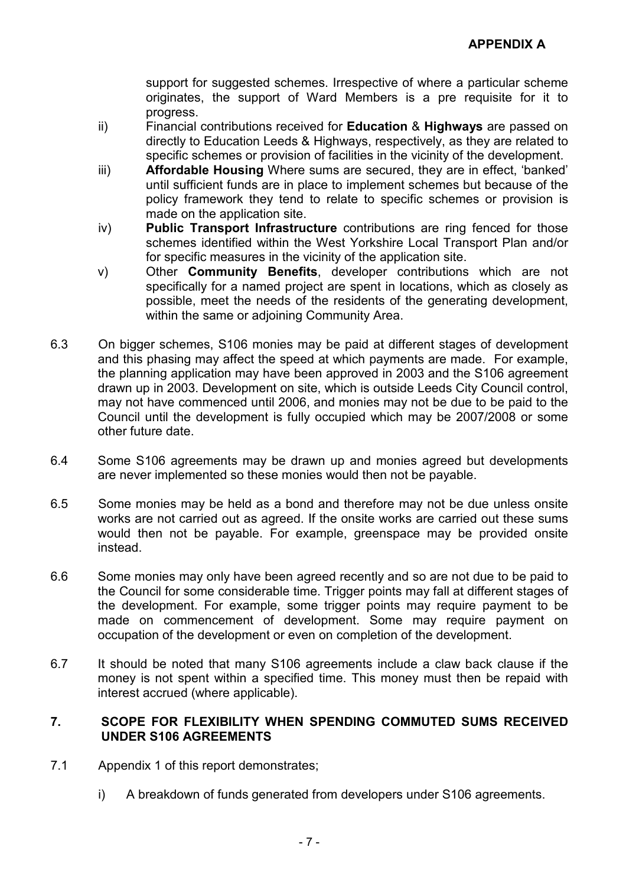support for suggested schemes. Irrespective of where a particular scheme originates, the support of Ward Members is a pre requisite for it to progress.

- ii) Financial contributions received for Education & Highways are passed on directly to Education Leeds & Highways, respectively, as they are related to specific schemes or provision of facilities in the vicinity of the development.
- iii) Affordable Housing Where sums are secured, they are in effect, 'banked' until sufficient funds are in place to implement schemes but because of the policy framework they tend to relate to specific schemes or provision is made on the application site.
- iv) Public Transport Infrastructure contributions are ring fenced for those schemes identified within the West Yorkshire Local Transport Plan and/or for specific measures in the vicinity of the application site.
- v) Other Community Benefits, developer contributions which are not specifically for a named project are spent in locations, which as closely as possible, meet the needs of the residents of the generating development, within the same or adjoining Community Area.
- 6.3 On bigger schemes, S106 monies may be paid at different stages of development and this phasing may affect the speed at which payments are made. For example, the planning application may have been approved in 2003 and the S106 agreement drawn up in 2003. Development on site, which is outside Leeds City Council control, may not have commenced until 2006, and monies may not be due to be paid to the Council until the development is fully occupied which may be 2007/2008 or some other future date.
- 6.4 Some S106 agreements may be drawn up and monies agreed but developments are never implemented so these monies would then not be payable.
- 6.5 Some monies may be held as a bond and therefore may not be due unless onsite works are not carried out as agreed. If the onsite works are carried out these sums would then not be payable. For example, greenspace may be provided onsite instead.
- 6.6 Some monies may only have been agreed recently and so are not due to be paid to the Council for some considerable time. Trigger points may fall at different stages of the development. For example, some trigger points may require payment to be made on commencement of development. Some may require payment on occupation of the development or even on completion of the development.
- 6.7 It should be noted that many S106 agreements include a claw back clause if the money is not spent within a specified time. This money must then be repaid with interest accrued (where applicable).

### 7. SCOPE FOR FLEXIBILITY WHEN SPENDING COMMUTED SUMS RECEIVED UNDER S106 AGREEMENTS

- 7.1 Appendix 1 of this report demonstrates;
	- i) A breakdown of funds generated from developers under S106 agreements.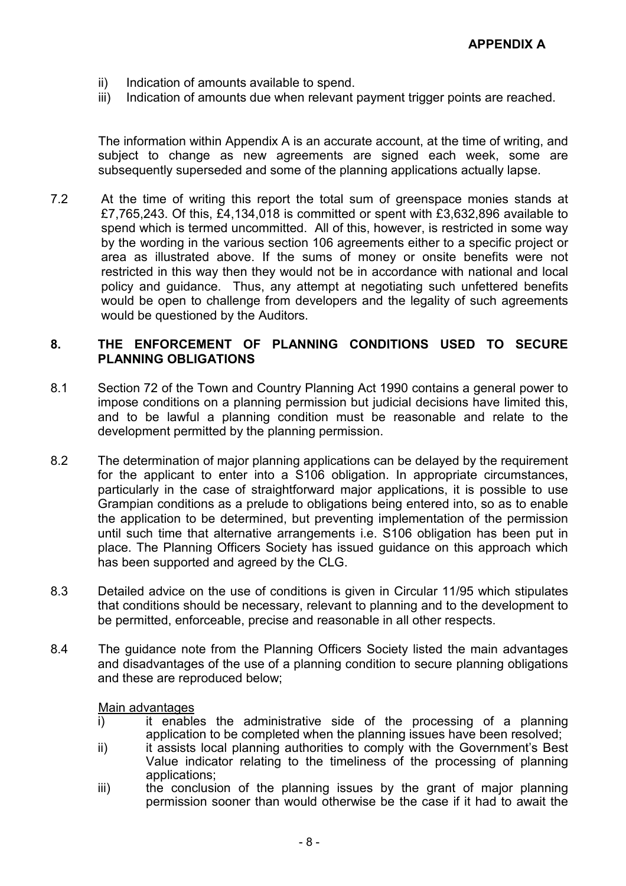- ii) Indication of amounts available to spend.
- iii) Indication of amounts due when relevant payment trigger points are reached.

The information within Appendix A is an accurate account, at the time of writing, and subject to change as new agreements are signed each week, some are subsequently superseded and some of the planning applications actually lapse.

7.2 At the time of writing this report the total sum of greenspace monies stands at £7,765,243. Of this, £4,134,018 is committed or spent with £3,632,896 available to spend which is termed uncommitted. All of this, however, is restricted in some way by the wording in the various section 106 agreements either to a specific project or area as illustrated above. If the sums of money or onsite benefits were not restricted in this way then they would not be in accordance with national and local policy and guidance. Thus, any attempt at negotiating such unfettered benefits would be open to challenge from developers and the legality of such agreements would be questioned by the Auditors.

### 8. THE ENFORCEMENT OF PLANNING CONDITIONS USED TO SECURE PLANNING OBLIGATIONS

- 8.1 Section 72 of the Town and Country Planning Act 1990 contains a general power to impose conditions on a planning permission but judicial decisions have limited this, and to be lawful a planning condition must be reasonable and relate to the development permitted by the planning permission.
- 8.2 The determination of major planning applications can be delayed by the requirement for the applicant to enter into a S106 obligation. In appropriate circumstances, particularly in the case of straightforward major applications, it is possible to use Grampian conditions as a prelude to obligations being entered into, so as to enable the application to be determined, but preventing implementation of the permission until such time that alternative arrangements i.e. S106 obligation has been put in place. The Planning Officers Society has issued guidance on this approach which has been supported and agreed by the CLG.
- 8.3 Detailed advice on the use of conditions is given in Circular 11/95 which stipulates that conditions should be necessary, relevant to planning and to the development to be permitted, enforceable, precise and reasonable in all other respects.
- 8.4 The guidance note from the Planning Officers Society listed the main advantages and disadvantages of the use of a planning condition to secure planning obligations and these are reproduced below;

#### Main advantages

- i) it enables the administrative side of the processing of a planning application to be completed when the planning issues have been resolved;
- ii) it assists local planning authorities to comply with the Government's Best Value indicator relating to the timeliness of the processing of planning applications;
- iii) the conclusion of the planning issues by the grant of major planning permission sooner than would otherwise be the case if it had to await the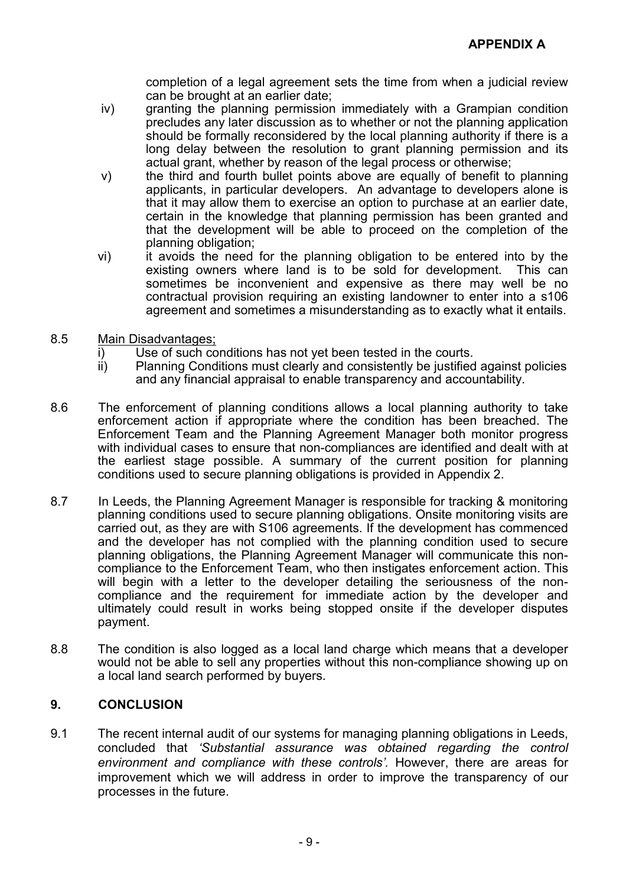completion of a legal agreement sets the time from when a judicial review can be brought at an earlier date;

- iv) granting the planning permission immediately with a Grampian condition precludes any later discussion as to whether or not the planning application should be formally reconsidered by the local planning authority if there is a long delay between the resolution to grant planning permission and its actual grant, whether by reason of the legal process or otherwise;
- v) the third and fourth bullet points above are equally of benefit to planning applicants, in particular developers. An advantage to developers alone is that it may allow them to exercise an option to purchase at an earlier date, certain in the knowledge that planning permission has been granted and that the development will be able to proceed on the completion of the planning obligation;
- vi) it avoids the need for the planning obligation to be entered into by the existing owners where land is to be sold for development. This can sometimes be inconvenient and expensive as there may well be no contractual provision requiring an existing landowner to enter into a s106 agreement and sometimes a misunderstanding as to exactly what it entails.
- 8.5 Main Disadvantages;
	- i) Use of such conditions has not yet been tested in the courts.
	- ii) Planning Conditions must clearly and consistently be justified against policies and any financial appraisal to enable transparency and accountability.
- 8.6 The enforcement of planning conditions allows a local planning authority to take enforcement action if appropriate where the condition has been breached. The Enforcement Team and the Planning Agreement Manager both monitor progress with individual cases to ensure that non-compliances are identified and dealt with at the earliest stage possible. A summary of the current position for planning conditions used to secure planning obligations is provided in Appendix 2.
- 8.7 In Leeds, the Planning Agreement Manager is responsible for tracking & monitoring planning conditions used to secure planning obligations. Onsite monitoring visits are carried out, as they are with S106 agreements. If the development has commenced and the developer has not complied with the planning condition used to secure planning obligations, the Planning Agreement Manager will communicate this noncompliance to the Enforcement Team, who then instigates enforcement action. This will begin with a letter to the developer detailing the seriousness of the noncompliance and the requirement for immediate action by the developer and ultimately could result in works being stopped onsite if the developer disputes payment.
- 8.8 The condition is also logged as a local land charge which means that a developer would not be able to sell any properties without this non-compliance showing up on a local land search performed by buyers.

### 9. CONCLUSION

9.1 The recent internal audit of our systems for managing planning obligations in Leeds, concluded that 'Substantial assurance was obtained regarding the control environment and compliance with these controls'. However, there are areas for improvement which we will address in order to improve the transparency of our processes in the future.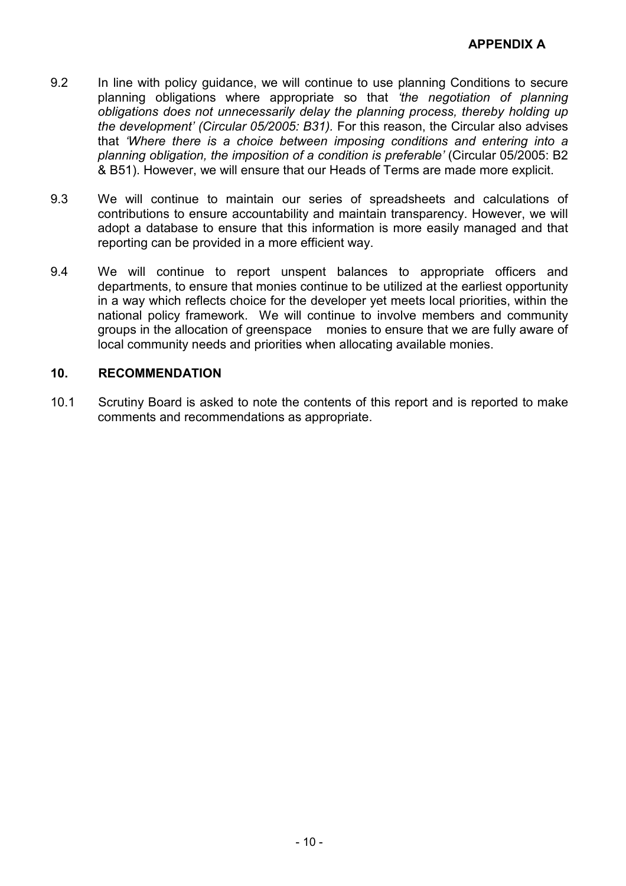- 9.2 In line with policy guidance, we will continue to use planning Conditions to secure planning obligations where appropriate so that 'the negotiation of planning obligations does not unnecessarily delay the planning process, thereby holding up the development' (Circular 05/2005: B31). For this reason, the Circular also advises that 'Where there is a choice between imposing conditions and entering into a planning obligation, the imposition of a condition is preferable' (Circular 05/2005: B2 & B51). However, we will ensure that our Heads of Terms are made more explicit.
- 9.3 We will continue to maintain our series of spreadsheets and calculations of contributions to ensure accountability and maintain transparency. However, we will adopt a database to ensure that this information is more easily managed and that reporting can be provided in a more efficient way.
- 9.4 We will continue to report unspent balances to appropriate officers and departments, to ensure that monies continue to be utilized at the earliest opportunity in a way which reflects choice for the developer yet meets local priorities, within the national policy framework. We will continue to involve members and community groups in the allocation of greenspace monies to ensure that we are fully aware of local community needs and priorities when allocating available monies.

### 10. RECOMMENDATION

10.1 Scrutiny Board is asked to note the contents of this report and is reported to make comments and recommendations as appropriate.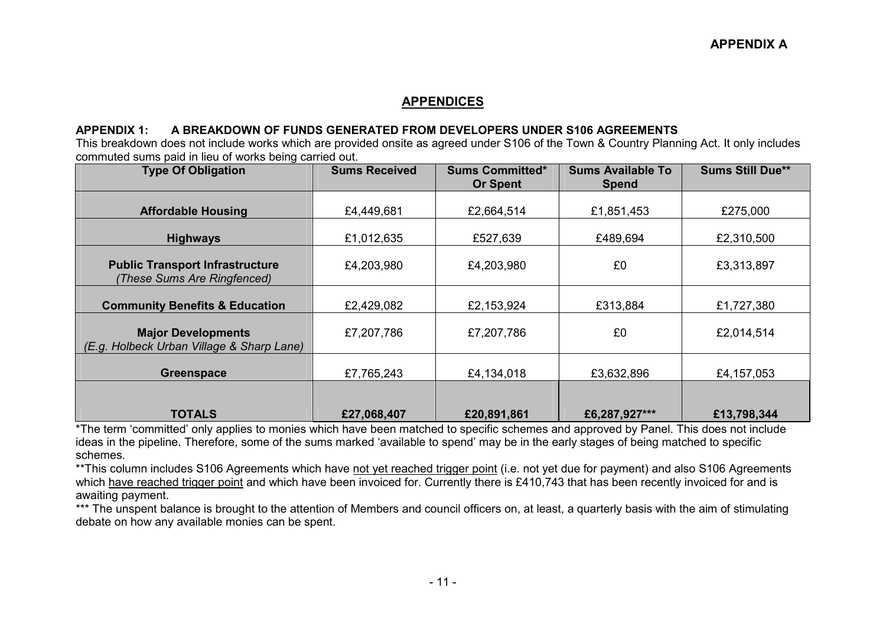#### APPENDICES

#### APPENDIX 1: A BREAKDOWN OF FUNDS GENERATED FROM DEVELOPERS UNDER S106 AGREEMENTS

 This breakdown does not include works which are provided onsite as agreed under S106 of the Town & Country Planning Act. It only includes commuted sums paid in lieu of works being carried out.

| <b>Type Of Obligation</b>                                              | <b>Sums Received</b> | <b>Sums Committed*</b><br><b>Or Spent</b> | <b>Sums Available To</b><br><b>Spend</b> | <b>Sums Still Due**</b> |  |
|------------------------------------------------------------------------|----------------------|-------------------------------------------|------------------------------------------|-------------------------|--|
| <b>Affordable Housing</b>                                              | £4,449,681           | £2,664,514                                | £1,851,453                               | £275,000                |  |
| <b>Highways</b>                                                        | £1,012,635           | £527,639                                  | £489,694                                 | £2,310,500              |  |
| <b>Public Transport Infrastructure</b><br>(These Sums Are Ringfenced)  | £4,203,980           | £4,203,980                                | £0                                       | £3,313,897              |  |
| <b>Community Benefits &amp; Education</b>                              | £2,429,082           | £2,153,924                                | £313,884                                 | £1,727,380              |  |
| <b>Major Developments</b><br>(E.g. Holbeck Urban Village & Sharp Lane) | £7,207,786           | £7,207,786                                | £0                                       | £2,014,514              |  |
| <b>Greenspace</b>                                                      | £7,765,243           | £4,134,018                                | £3,632,896                               | £4,157,053              |  |
| <b>TOTALS</b>                                                          | £27,068,407          | £20,891,861                               | £6,287,927***                            | £13,798,344             |  |

 \*The term 'committed' only applies to monies which have been matched to specific schemes and approved by Panel. This does not include ideas in the pipeline. Therefore, some of the sums marked 'available to spend' may be in the early stages of being matched to specific schemes.

\*\*This column includes S106 Agreements which have not yet reached trigger point (i.e. not yet due for payment) and also S106 Agreements which have reached trigger point and which have been invoiced for. Currently there is £410,743 that has been recently invoiced for and is awaiting payment.

\*\*\* The unspent balance is brought to the attention of Members and council officers on, at least, a quarterly basis with the aim of stimulating debate on how any available monies can be spent.